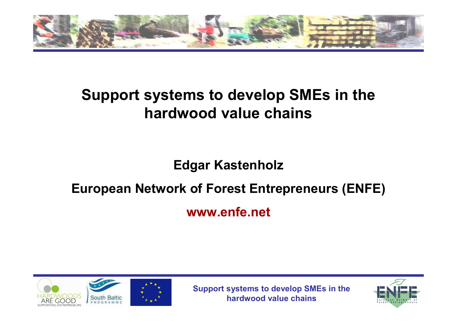

### **Support systems to develop SMEs in the hardwood value chains**

#### **Edgar Kastenholz**

# **European Network of Forest Entrepreneurs (ENFE)**

**www.enfe.net**



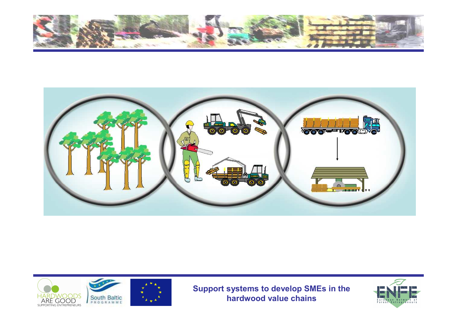





**Support systems to develop SMEs in the hardwood value chains**

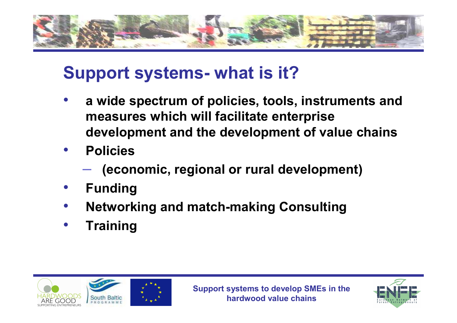

### **Support systems- what is it?**

- • **a wide spectrum of policies, tools, instruments andmeasures which will facilitate enterprise development and the development of value chains**
- • **Policies** 
	- $\mathcal{L}_{\mathcal{A}}$  , and the set of the set of the set of the set of the set of the set of the set of the set of the set of the set of the set of the set of the set of the set of the set of the set of the set of the set of th **(economic, regional or rural development)**
- •**Funding**
- •**Networking and match-making Consulting**
- •**Training**



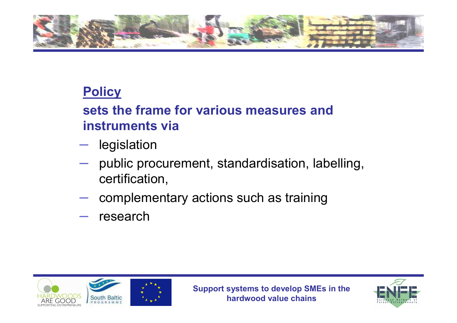

#### **Policy**

 **sets the frame for various measures and instruments via** 

- – $-$  legislation
- $\mathcal{L}_{\mathcal{A}}$  , and the set of the set of the set of the set of the set of the set of the set of the set of the set of the set of the set of the set of the set of the set of the set of the set of the set of the set of th public procurement, standardisation, labelling, certification,
- complementary actions such as training
- research



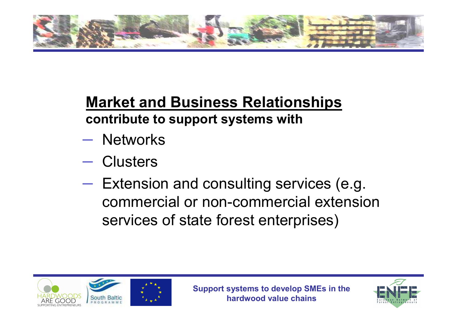

### **Market and Business Relationships**

**contribute to support systems with**

- Networks
- Clusters
- **Extension and consulting services (e.g.** commercial or non-commercial extension services of state forest enterprises)



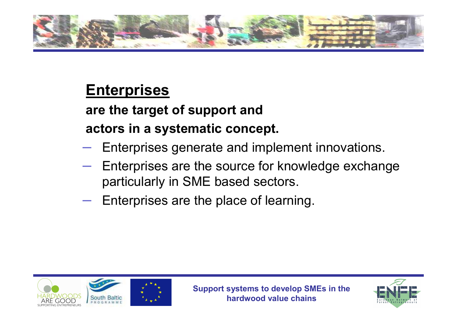

### **Enterprises**

**are the target of support and** 

#### **actors in a systematic concept.**

- Enterprises generate and implement innovations.
- Enterprises are the source for knowledge exchange particularly in SME based sectors.
- $\mathcal{L}_{\mathcal{A}}$  , and the set of the set of the set of the set of the set of the set of the set of the set of the set of the set of the set of the set of the set of the set of the set of the set of the set of the set of th Enterprises are the place of learning.



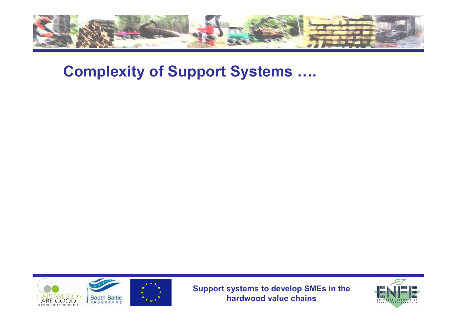

#### **Complexity of Support Systems ,.**



**Support systems to develop SMEs in the hardwood value chains**

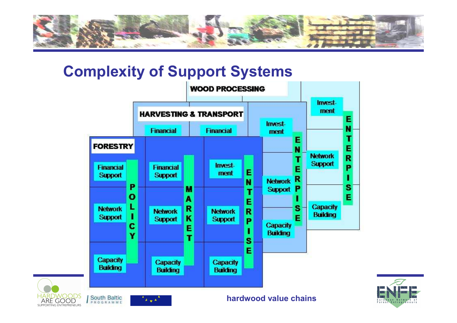

#### **Complexity of Support Systems**



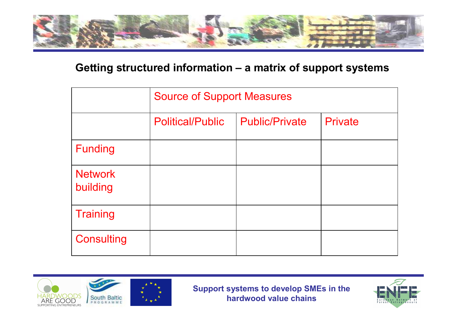

#### **Getting structured information – a matrix of support systems**

|                            | <b>Source of Support Measures</b> |                       |                |
|----------------------------|-----------------------------------|-----------------------|----------------|
|                            | <b>Political/Public</b>           | <b>Public/Private</b> | <b>Private</b> |
| <b>Funding</b>             |                                   |                       |                |
| <b>Network</b><br>building |                                   |                       |                |
| <b>Training</b>            |                                   |                       |                |
| <b>Consulting</b>          |                                   |                       |                |





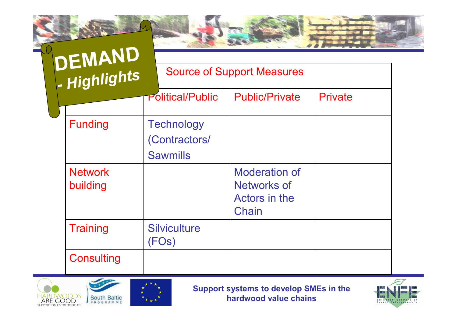| DEMAND<br>- Highlights     |                                                       | <b>Source of Support Measures</b>                                    |                |  |
|----------------------------|-------------------------------------------------------|----------------------------------------------------------------------|----------------|--|
|                            | <b>Political/Public</b>                               | <b>Public/Private</b>                                                | <b>Private</b> |  |
| <b>Funding</b>             | <b>Technology</b><br>(Contractors/<br><b>Sawmills</b> |                                                                      |                |  |
| <b>Network</b><br>building |                                                       | <b>Moderation of</b><br><b>Networks of</b><br>Actors in the<br>Chain |                |  |
| <b>Training</b>            | <b>Silviculture</b><br>(FOs)                          |                                                                      |                |  |
| <b>Consulting</b>          |                                                       |                                                                      |                |  |







S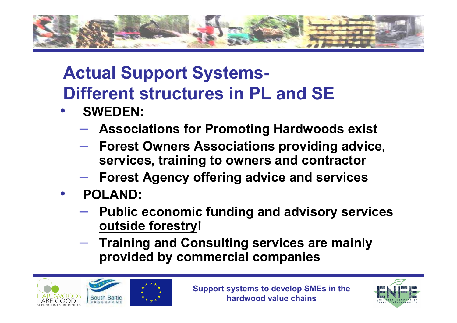

## **Actual Support Systems-Different structures in PL and SE**

- • **SWEDEN:** 
	- **Associations for Promoting Hardwoods exist**
	- $\mathcal{L}_{\mathcal{A}}$  , and the set of the set of the set of the set of the set of the set of the set of the set of the set of the set of the set of the set of the set of the set of the set of the set of the set of the set of th **Forest Owners Associations providing advice, services, training to owners and contractor**
	- **Forest Agency offering advice and services**
- • **POLAND:**
	- $\mathcal{L}_{\mathcal{A}}$  , and the set of the set of the set of the set of the set of the set of the set of the set of the set of the set of the set of the set of the set of the set of the set of the set of the set of the set of th **Public economic funding and advisory services outside forestry!**
	- **Training and Consulting services are mainly provided by commercial companies**



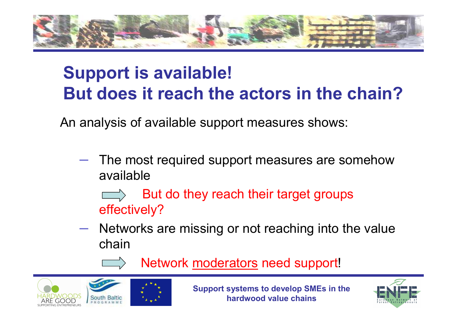

### **Support is available!But does it reach the actors in the chain?**

An analysis of available support measures shows:

- $\mathcal{L}_{\mathcal{A}}$  , and the set of the set of the set of the set of the set of the set of the set of the set of the set of the set of the set of the set of the set of the set of the set of the set of the set of the set of th - The most required support measures are somehow available
	- $\Box$  But do they reach their target groups effectively?
- $\mathcal{L}_{\mathcal{A}}$  , and the set of  $\mathcal{L}_{\mathcal{A}}$ - Networks are missing or not reaching into the value chain



Network moderators need support!



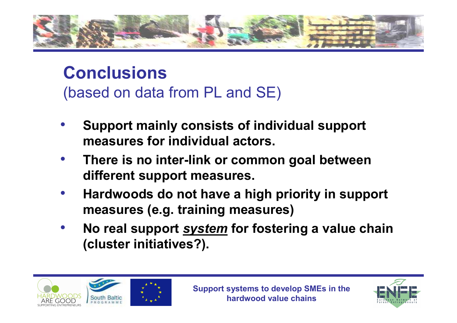

**Conclusions**(based on data from PL and SE)

- • **Support mainly consists of individual support measures for individual actors.**
- • **There is no inter-link or common goal between different support measures.**
- • **Hardwoods do not have a high priority in support measures (e.g. training measures)**
- • **No real support** *system* **for fostering a value chain (cluster initiatives?).**



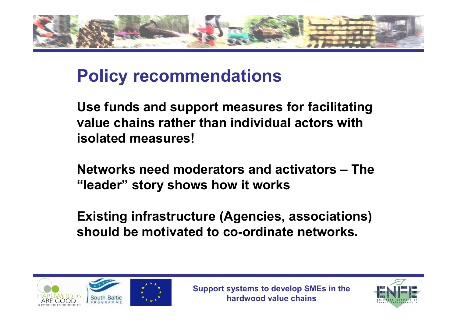

### **Policy recommendations**

**Use funds and support measures for facilitating value chains rather than individual actors with isolated measures!** 

**Networks need moderators and activators – The "leader" story shows how it works**

**Existing infrastructure (Agencies, associations) should be motivated to co-ordinate networks.**